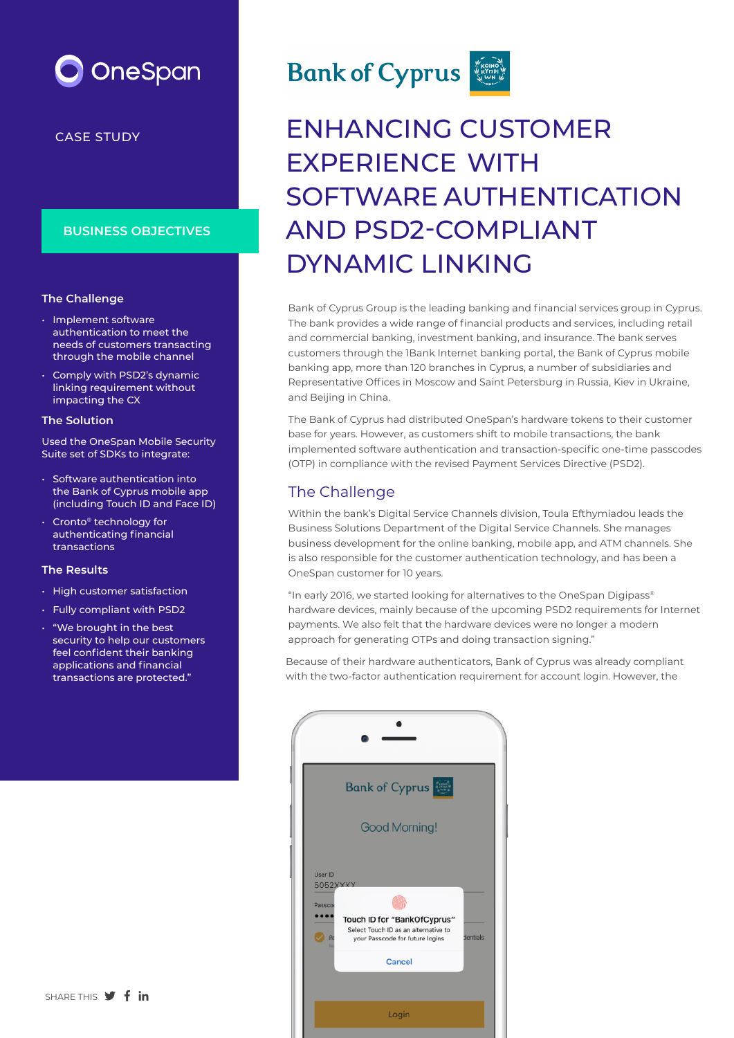

CASE STUDY

#### **BUSINESS OBJECTIVES**

#### **The Challenge**

- Implement software authentication to meet the needs of customers transacting through the mobile channel
- Comply with PSD2's dynamic linking requirement without impacting the CX

#### **The Solution**

Used the OneSpan Mobile Security Suite set of SDKs to integrate:

- Software authentication into the Bank of Cyprus mobile app (including Touch ID and Face ID)
- Cronto® technology for authenticating financial transactions

#### **The Results**

- High customer satisfaction
- Fully compliant with PSD2
- "We brought in the best security to help our customers feel confident their banking applications and financial transactions are protected."



# ENHANCING CUSTOMER EXPERIENCE WITH SOFTWARE AUTHENTICATION AND PSD2-COMPLIANT DYNAMIC LINKING

Bank of Cyprus Group is the leading banking and financial services group in Cyprus. The bank provides a wide range of financial products and services, including retail and commercial banking, investment banking, and insurance. The bank serves customers through the 1Bank Internet banking portal, the Bank of Cyprus mobile banking app, more than 120 branches in Cyprus, a number of subsidiaries and Representative Offices in Moscow and Saint Petersburg in Russia, Kiev in Ukraine, and Beijing in China.

The Bank of Cyprus had distributed OneSpan's hardware tokens to their customer base for years. However, as customers shift to mobile transactions, the bank implemented software authentication and transaction-specific one-time passcodes (OTP) in compliance with the revised Payment Services Directive (PSD2).

## The Challenge

Within the bank's Digital Service Channels division, Toula Efthymiadou leads the Business Solutions Department of the Digital Service Channels. She manages business development for the online banking, mobile app, and ATM channels. She is also responsible for the customer authentication technology, and has been a OneSpan customer for 10 years.

"In early 2016, we started looking for alternatives to the OneSpan Digipass® hardware devices, mainly because of the upcoming PSD2 requirements for Internet payments. We also felt that the hardware devices were no longer a modern approach for generating OTPs and doing transaction signing."

Because of their hardware authenticators, Bank of Cyprus was already compliant with the two-factor authentication requirement for account login. However, the

|                               | <b>Bank of Cyprus</b>                                                                                            |          |
|-------------------------------|------------------------------------------------------------------------------------------------------------------|----------|
|                               | <b>Good Morning!</b>                                                                                             |          |
| User ID<br>5052XXXX<br>Passco | Touch ID for "BankOfCyprus"<br>Select Touch ID as an alternative to<br>your Passcode for future logins<br>Cancel | dentials |
|                               | Login                                                                                                            |          |

SHARE THIS **V** f in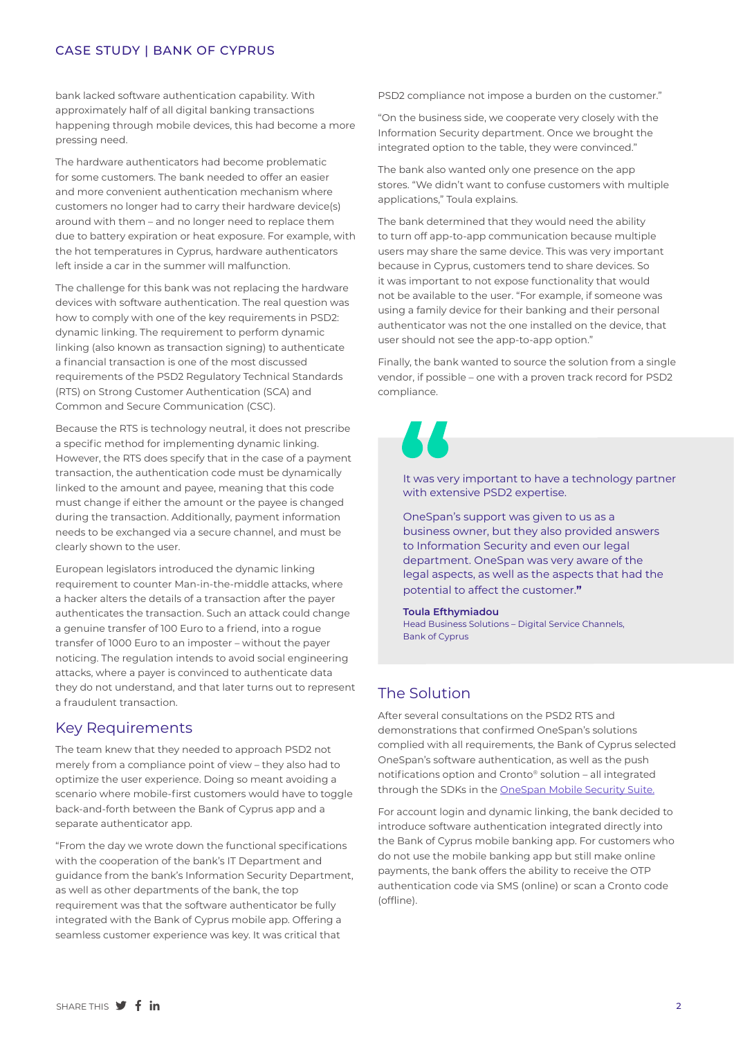#### CASE STUDY | BANK OF CYPRUS

bank lacked software authentication capability. With approximately half of all digital banking transactions happening through mobile devices, this had become a more pressing need.

The hardware authenticators had become problematic for some customers. The bank needed to offer an easier and more convenient authentication mechanism where customers no longer had to carry their hardware device(s) around with them – and no longer need to replace them due to battery expiration or heat exposure. For example, with the hot temperatures in Cyprus, hardware authenticators left inside a car in the summer will malfunction.

The challenge for this bank was not replacing the hardware devices with software authentication. The real question was how to comply with one of the key requirements in PSD2: dynamic linking. The requirement to perform dynamic linking (also known as transaction signing) to authenticate a financial transaction is one of the most discussed requirements of the PSD2 Regulatory Technical Standards (RTS) on Strong Customer Authentication (SCA) and Common and Secure Communication (CSC).

Because the RTS is technology neutral, it does not prescribe a specific method for implementing dynamic linking. However, the RTS does specify that in the case of a payment transaction, the authentication code must be dynamically linked to the amount and payee, meaning that this code must change if either the amount or the payee is changed during the transaction. Additionally, payment information needs to be exchanged via a secure channel, and must be clearly shown to the user.

European legislators introduced the dynamic linking requirement to counter Man-in-the-middle attacks, where a hacker alters the details of a transaction after the payer authenticates the transaction. Such an attack could change a genuine transfer of 100 Euro to a friend, into a rogue transfer of 1000 Euro to an imposter – without the payer noticing. The regulation intends to avoid social engineering attacks, where a payer is convinced to authenticate data they do not understand, and that later turns out to represent a fraudulent transaction.

#### Key Requirements

The team knew that they needed to approach PSD2 not merely from a compliance point of view – they also had to optimize the user experience. Doing so meant avoiding a scenario where mobile-first customers would have to toggle back-and-forth between the Bank of Cyprus app and a separate authenticator app.

"From the day we wrote down the functional specifications with the cooperation of the bank's IT Department and guidance from the bank's Information Security Department, as well as other departments of the bank, the top requirement was that the software authenticator be fully integrated with the Bank of Cyprus mobile app. Offering a seamless customer experience was key. It was critical that

PSD2 compliance not impose a burden on the customer."

"On the business side, we cooperate very closely with the Information Security department. Once we brought the integrated option to the table, they were convinced."

The bank also wanted only one presence on the app stores. "We didn't want to confuse customers with multiple applications," Toula explains.

The bank determined that they would need the ability to turn off app-to-app communication because multiple users may share the same device. This was very important because in Cyprus, customers tend to share devices. So it was important to not expose functionality that would not be available to the user. "For example, if someone was using a family device for their banking and their personal authenticator was not the one installed on the device, that user should not see the app-to-app option."

Finally, the bank wanted to source the solution from a single vendor, if possible – one with a proven track record for PSD2 compliance.



It was very important to have a technology partner with extensive PSD2 expertise.

OneSpan's support was given to us as a business owner, but they also provided answers to Information Security and even our legal department. OneSpan was very aware of the legal aspects, as well as the aspects that had the potential to affect the customer.**"**

#### **Toula Efthymiadou**

Head Business Solutions – Digital Service Channels, Bank of Cyprus

#### The Solution

After several consultations on the PSD2 RTS and demonstrations that confirmed OneSpan's solutions complied with all requirements, the Bank of Cyprus selected OneSpan's software authentication, as well as the push notifications option and Cronto® solution – all integrated through the SDKs in the [OneSpan Mobile Security Suite.](https://www.onespan.com/security-products/mobile-app-security/mobile-security-suite-sdk)

For account login and dynamic linking, the bank decided to introduce software authentication integrated directly into the Bank of Cyprus mobile banking app. For customers who do not use the mobile banking app but still make online payments, the bank offers the ability to receive the OTP authentication code via SMS (online) or scan a Cronto code (offline).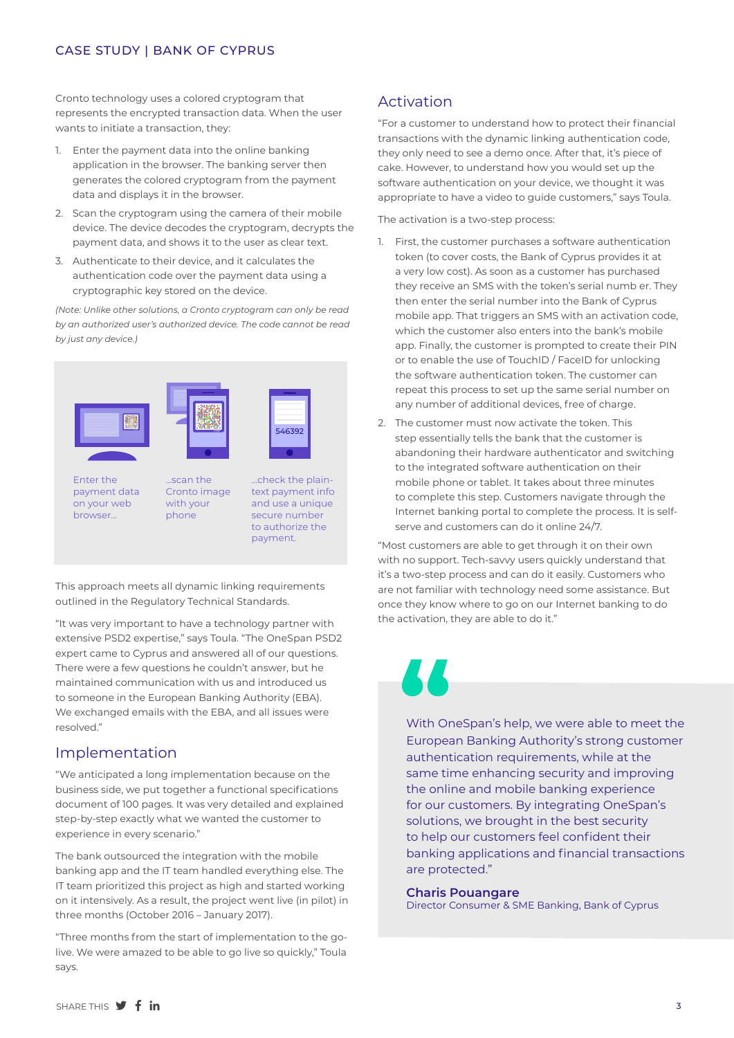#### CASE STUDY | BANK OF CYPRUS

Cronto technology uses a colored cryptogram that represents the encrypted transaction data. When the user wants to initiate a transaction, they:

- 1. Enter the payment data into the online banking application in the browser. The banking server then generates the colored cryptogram from the payment data and displays it in the browser.
- 2. Scan the cryptogram using the camera of their mobile device. The device decodes the cryptogram, decrypts the payment data, and shows it to the user as clear text.
- 3. Authenticate to their device, and it calculates the authentication code over the payment data using a cryptographic key stored on the device.

*(Note: Unlike other solutions, a Cronto cryptogram can only be read by an authorized user's authorized device. The code cannot be read by just any device.)*



Enter the payment data on your web browser...

...scan the Cronto image with your phone

...check the plaintext payment info and use a unique secure number to authorize the payment.

 $546792$ 

This approach meets all dynamic linking requirements outlined in the Regulatory Technical Standards.

"It was very important to have a technology partner with extensive PSD2 expertise," says Toula. "The OneSpan PSD2 expert came to Cyprus and answered all of our questions. There were a few questions he couldn't answer, but he maintained communication with us and introduced us to someone in the European Banking Authority (EBA). We exchanged emails with the EBA, and all issues were resolved."

# Implementation

"We anticipated a long implementation because on the business side, we put together a functional specifications document of 100 pages. It was very detailed and explained step-by-step exactly what we wanted the customer to experience in every scenario."

The bank outsourced the integration with the mobile banking app and the IT team handled everything else. The IT team prioritized this project as high and started working on it intensively. As a result, the project went live (in pilot) in three months (October 2016 – January 2017).

"Three months from the start of implementation to the golive. We were amazed to be able to go live so quickly," Toula says.

# Activation

"For a customer to understand how to protect their financial transactions with the dynamic linking authentication code, they only need to see a demo once. After that, it's piece of cake. However, to understand how you would set up the software authentication on your device, we thought it was appropriate to have a video to guide customers," says Toula.

The activation is a two-step process:

- 1. First, the customer purchases a software authentication token (to cover costs, the Bank of Cyprus provides it at a very low cost). As soon as a customer has purchased they receive an SMS with the token's serial numb er. They then enter the serial number into the Bank of Cyprus mobile app. That triggers an SMS with an activation code, which the customer also enters into the bank's mobile app. Finally, the customer is prompted to create their PIN or to enable the use of TouchID / FaceID for unlocking the software authentication token. The customer can repeat this process to set up the same serial number on any number of additional devices, free of charge.
- 2. The customer must now activate the token. This step essentially tells the bank that the customer is abandoning their hardware authenticator and switching to the integrated software authentication on their mobile phone or tablet. It takes about three minutes to complete this step. Customers navigate through the Internet banking portal to complete the process. It is selfserve and customers can do it online 24/7.

"Most customers are able to get through it on their own with no support. Tech-savvy users quickly understand that it's a two-step process and can do it easily. Customers who are not familiar with technology need some assistance. But once they know where to go on our Internet banking to do the activation, they are able to do it."

With OneSpan's help, we were able to meet the European Banking Authority's strong customer authentication requirements, while at the same time enhancing security and improving the online and mobile banking experience for our customers. By integrating OneSpan's solutions, we brought in the best security to help our customers feel confident their banking applications and financial transactions are protected."

#### **Charis Pouangare**

Director Consumer & SME Banking, Bank of Cyprus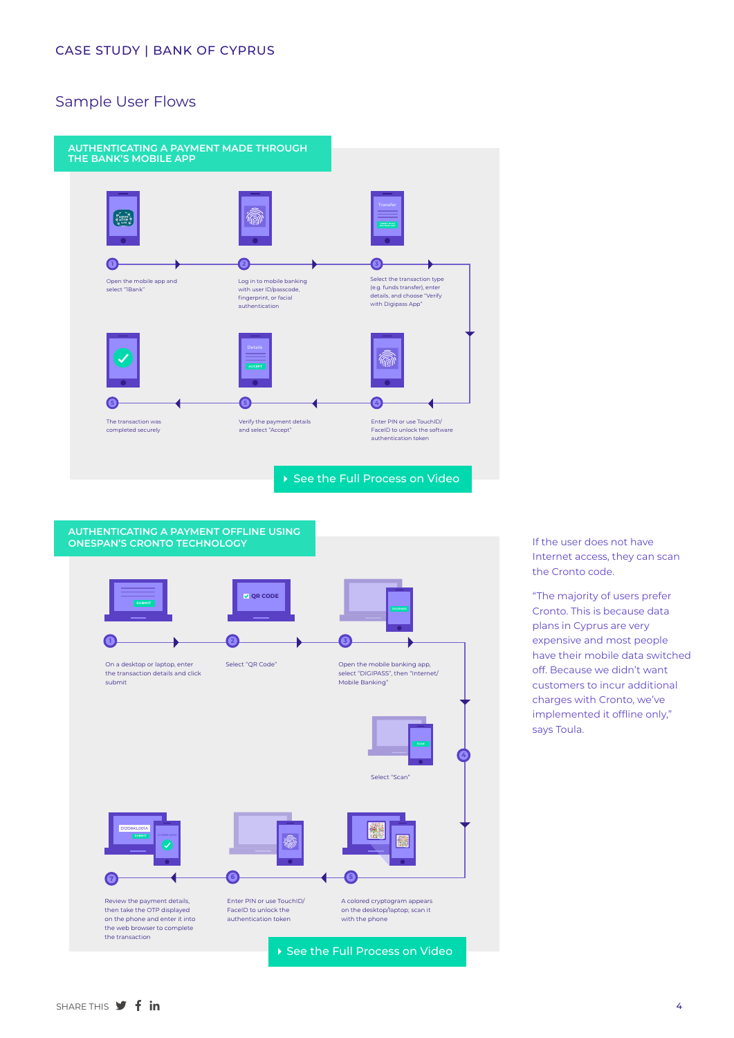# Sample User Flows





If the user does not have Internet access, they can scan the Cronto code.

"The majority of users prefer Cronto. This is because data plans in Cyprus are very expensive and most people have their mobile data switched off. Because we didn't want customers to incur additional charges with Cronto, we've implemented it offline only," says Toula.